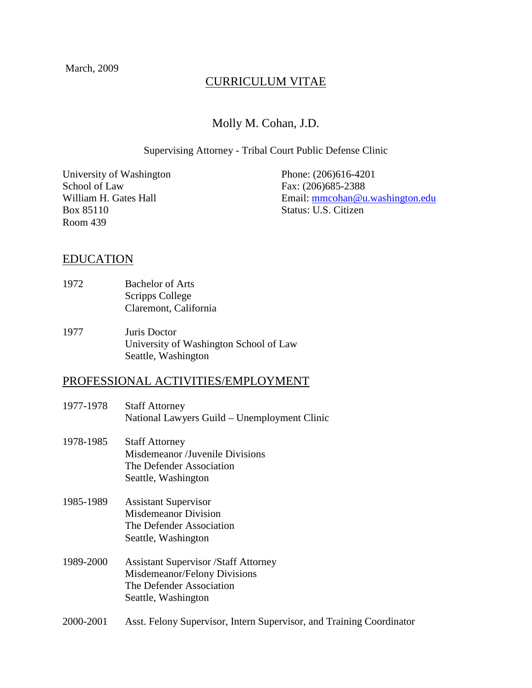# CURRICULUM VITAE

## Molly M. Cohan, J.D.

#### Supervising Attorney - Tribal Court Public Defense Clinic

University of Washington Phone: (206)616-4201 School of Law Fax: (206)685-2388 Box 85110 Status: U.S. Citizen Room 439

William H. Gates Hall Email: mmcohan@u.washington.edu

#### EDUCATION

- 1972 Bachelor of Arts Scripps College Claremont, California
- 1977 Juris Doctor University of Washington School of Law Seattle, Washington

#### PROFESSIONAL ACTIVITIES/EMPLOYMENT

- 1977-1978 Staff Attorney National Lawyers Guild – Unemployment Clinic
- 1978-1985 Staff Attorney Misdemeanor /Juvenile Divisions The Defender Association Seattle, Washington
- 1985-1989 Assistant Supervisor Misdemeanor Division The Defender Association Seattle, Washington
- 1989-2000 Assistant Supervisor /Staff Attorney Misdemeanor/Felony Divisions The Defender Association Seattle, Washington
- 2000-2001 Asst. Felony Supervisor, Intern Supervisor, and Training Coordinator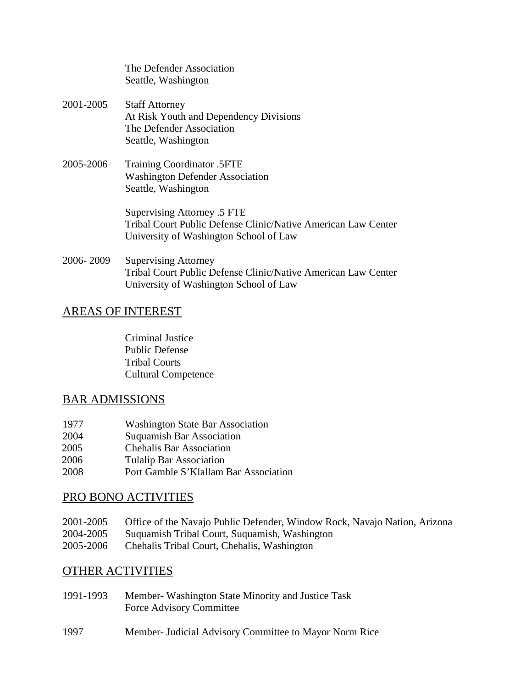|           | The Defender Association<br>Seattle, Washington                                                                                        |
|-----------|----------------------------------------------------------------------------------------------------------------------------------------|
| 2001-2005 | <b>Staff Attorney</b><br>At Risk Youth and Dependency Divisions<br>The Defender Association<br>Seattle, Washington                     |
| 2005-2006 | <b>Training Coordinator .5FTE</b><br><b>Washington Defender Association</b><br>Seattle, Washington                                     |
|           | Supervising Attorney .5 FTE<br>Tribal Court Public Defense Clinic/Native American Law Center<br>University of Washington School of Law |
| 2006-2009 | <b>Supervising Attorney</b>                                                                                                            |

 Tribal Court Public Defense Clinic/Native American Law Center University of Washington School of Law

# AREAS OF INTEREST

 Criminal Justice Public Defense Tribal Courts Cultural Competence

## BAR ADMISSIONS

| 1977 | <b>Washington State Bar Association</b> |
|------|-----------------------------------------|
| 2004 | <b>Suquamish Bar Association</b>        |
| 2005 | <b>Chehalis Bar Association</b>         |
| 2006 | <b>Tulalip Bar Association</b>          |
| 2008 | Port Gamble S'Klallam Bar Association   |

# PRO BONO ACTIVITIES

| 2001-2005 | Office of the Navajo Public Defender, Window Rock, Navajo Nation, Arizona |
|-----------|---------------------------------------------------------------------------|
| 2004-2005 | Suquamish Tribal Court, Suquamish, Washington                             |
| 2005-2006 | Chehalis Tribal Court, Chehalis, Washington                               |

# OTHER ACTIVITIES

| 1991-1993 | Member- Washington State Minority and Justice Task |
|-----------|----------------------------------------------------|
|           | Force Advisory Committee                           |

1997 Member- Judicial Advisory Committee to Mayor Norm Rice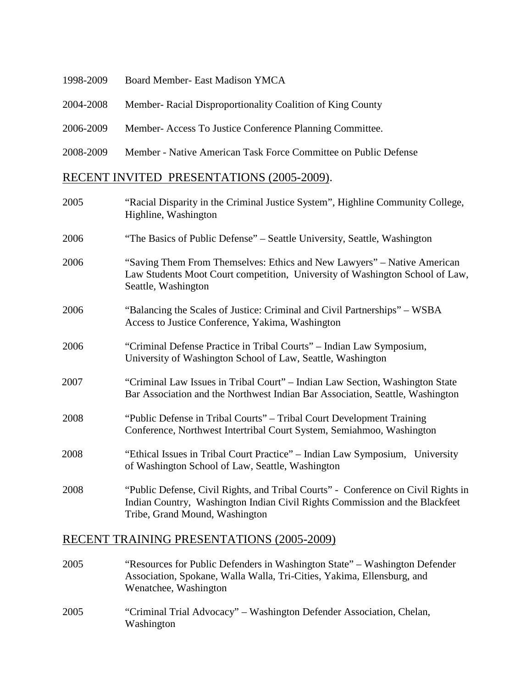| 1998-2009                                 | Board Member- East Madison YMCA                                 |
|-------------------------------------------|-----------------------------------------------------------------|
| 2004-2008                                 | Member- Racial Disproportionality Coalition of King County      |
| 2006-2009                                 | Member-Access To Justice Conference Planning Committee.         |
| 2008-2009                                 | Member - Native American Task Force Committee on Public Defense |
| RECENT INVITED PRESENTATIONS (2005-2009). |                                                                 |

| 2005 | "Racial Disparity in the Criminal Justice System", Highline Community College,<br>Highline, Washington                                                                                             |
|------|----------------------------------------------------------------------------------------------------------------------------------------------------------------------------------------------------|
| 2006 | "The Basics of Public Defense" – Seattle University, Seattle, Washington                                                                                                                           |
| 2006 | "Saving Them From Themselves: Ethics and New Lawyers" – Native American<br>Law Students Moot Court competition, University of Washington School of Law,<br>Seattle, Washington                     |
| 2006 | "Balancing the Scales of Justice: Criminal and Civil Partnerships" – WSBA<br>Access to Justice Conference, Yakima, Washington                                                                      |
| 2006 | "Criminal Defense Practice in Tribal Courts" – Indian Law Symposium,<br>University of Washington School of Law, Seattle, Washington                                                                |
| 2007 | "Criminal Law Issues in Tribal Court" - Indian Law Section, Washington State<br>Bar Association and the Northwest Indian Bar Association, Seattle, Washington                                      |
| 2008 | "Public Defense in Tribal Courts" - Tribal Court Development Training<br>Conference, Northwest Intertribal Court System, Semiahmoo, Washington                                                     |
| 2008 | "Ethical Issues in Tribal Court Practice" - Indian Law Symposium, University<br>of Washington School of Law, Seattle, Washington                                                                   |
| 2008 | "Public Defense, Civil Rights, and Tribal Courts" - Conference on Civil Rights in<br>Indian Country, Washington Indian Civil Rights Commission and the Blackfeet<br>Tribe, Grand Mound, Washington |

## RECENT TRAINING PRESENTATIONS (2005-2009)

- 2005 "Resources for Public Defenders in Washington State" Washington Defender Association, Spokane, Walla Walla, Tri-Cities, Yakima, Ellensburg, and Wenatchee, Washington
- 2005 "Criminal Trial Advocacy" Washington Defender Association, Chelan, Washington